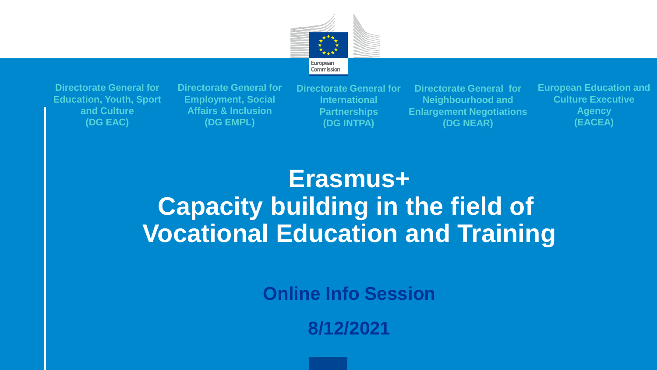

**Directorate General for Education, Youth, Sport and Culture (DG EAC)**

**Directorate General for Employment, Social Affairs & Inclusion (DG EMPL)**

**Directorate General for International Partnerships (DG INTPA)**

**Directorate General for Neighbourhood and Enlargement Negotiations (DG NEAR)**

**European Education and Culture Executive Agency (EACEA)**

**Erasmus+ Capacity building in the field of Vocational Education and Training**

**Online Info Session**

**8/12/2021**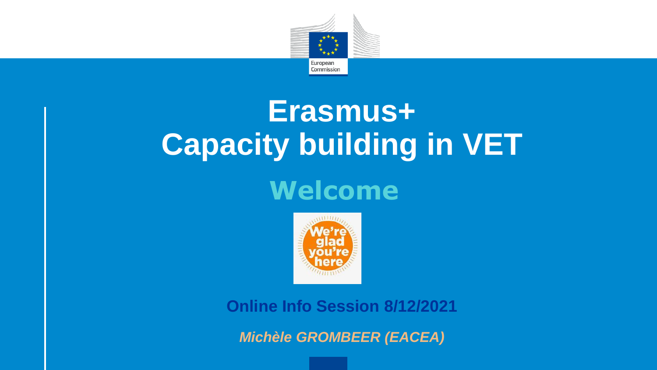

# **Erasmus+ Capacity building in VET**

## **Welcome**



**Online Info Session 8/12/2021**

*Michèle GROMBEER (EACEA)*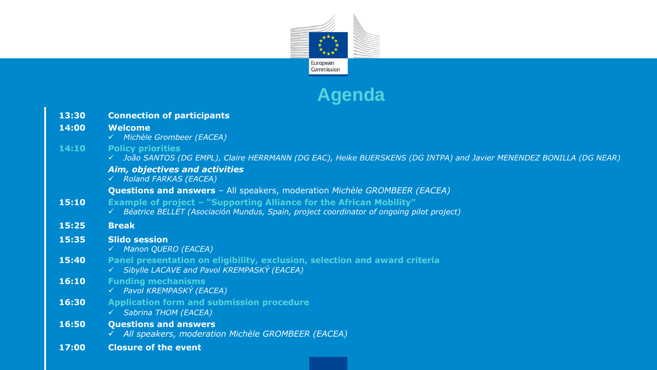

#### **Agenda**

| 13:30 | <b>Connection of participants</b>                                                                                                                                      |
|-------|------------------------------------------------------------------------------------------------------------------------------------------------------------------------|
| 14:00 | <b>Welcome</b><br>√ Michèle Grombeer (EACEA)                                                                                                                           |
| 14:10 | <b>Policy priorities</b><br>√ João SANTOS (DG EMPL), Claire HERRMANN (DG EAC), Heike BUERSKENS (DG INTPA) and Javier MENENDEZ BONILLA (DG NEAR)                        |
|       | Aim, objectives and activities<br>√ Roland FARKAS (EACEA)                                                                                                              |
|       | <b>Questions and answers</b> - All speakers, moderation Michèle GROMBEER (EACEA)                                                                                       |
| 15:10 | <b>Example of project - "Supporting Alliance for the African Mobility"</b><br>Béatrice BELLET (Asociación Mundus, Spain, project coordinator of ongoing pilot project) |
| 15:25 | <b>Break</b>                                                                                                                                                           |
| 15:35 | <b>Slido session</b><br>√ Manon QUERO (EACEA)                                                                                                                          |
| 15:40 | Panel presentation on eligibility, exclusion, selection and award criteria<br>V Sibylle LACAVE and Pavol KREMPASKÝ (EACEA)                                             |
| 16:10 | <b>Funding mechanisms</b><br>√ Pavol KREMPASKÝ (EACEA)                                                                                                                 |
| 16:30 | <b>Application form and submission procedure</b><br>└ Sabrina THOM (EACEA)                                                                                             |
| 16:50 | <b>Questions and answers</b><br>√ All speakers, moderation Michèle GROMBEER (EACEA)                                                                                    |
| 17:00 | <b>Closure of the event</b>                                                                                                                                            |
|       |                                                                                                                                                                        |